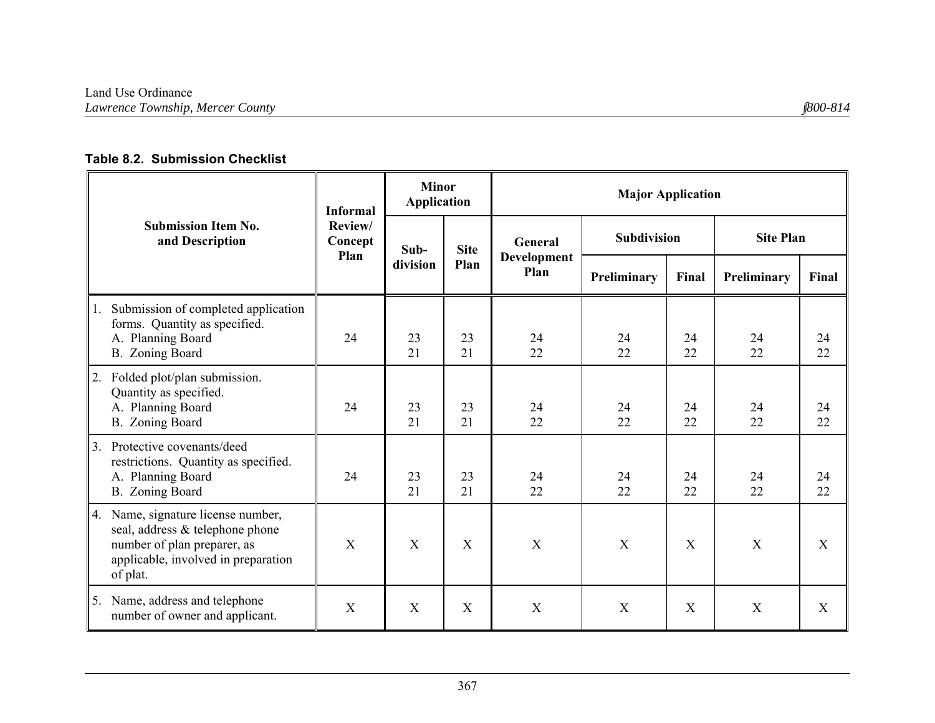## **Table 8.2. Submission Checklist**

|                                                                                                                                                            | <b>Informal</b>           | <b>Minor</b><br><b>Application</b> |             | <b>Major Application</b> |                |                |                  |                  |  |
|------------------------------------------------------------------------------------------------------------------------------------------------------------|---------------------------|------------------------------------|-------------|--------------------------|----------------|----------------|------------------|------------------|--|
| <b>Submission Item No.</b><br>and Description                                                                                                              | Review/<br>Concept        | Sub-                               | <b>Site</b> | General                  | Subdivision    |                | <b>Site Plan</b> |                  |  |
|                                                                                                                                                            | Plan                      | division                           | Plan        | Development<br>Plan      | Preliminary    | Final          | Preliminary      | Final            |  |
| Submission of completed application<br>1.<br>forms. Quantity as specified.<br>A. Planning Board<br>B. Zoning Board                                         | 24                        | 23<br>21                           | 23<br>21    | 24<br>22                 | 24<br>22       | 24<br>22       | 24<br>22         | 24<br>22         |  |
| Folded plot/plan submission.<br>2.<br>Quantity as specified.<br>A. Planning Board<br>B. Zoning Board                                                       | 24                        | 23<br>21                           | 23<br>21    | 24<br>22                 | 24<br>22       | 24<br>22       | 24<br>22         | 24<br>22         |  |
| 3.<br>Protective covenants/deed<br>restrictions. Quantity as specified.<br>A. Planning Board<br>B. Zoning Board                                            | 24                        | 23<br>21                           | 23<br>21    | 24<br>22                 | 24<br>22       | 24<br>22       | 24<br>22         | 24<br>22         |  |
| Name, signature license number,<br>4.<br>seal, address & telephone phone<br>number of plan preparer, as<br>applicable, involved in preparation<br>of plat. | X                         | X                                  | X           | X                        | $\overline{X}$ | $\overline{X}$ | X                | X                |  |
| Name, address and telephone<br>5.<br>number of owner and applicant.                                                                                        | $\boldsymbol{\mathrm{X}}$ | $\mathbf X$                        | $\mathbf X$ | $\mathbf X$              | X              | X              | X                | $\boldsymbol{X}$ |  |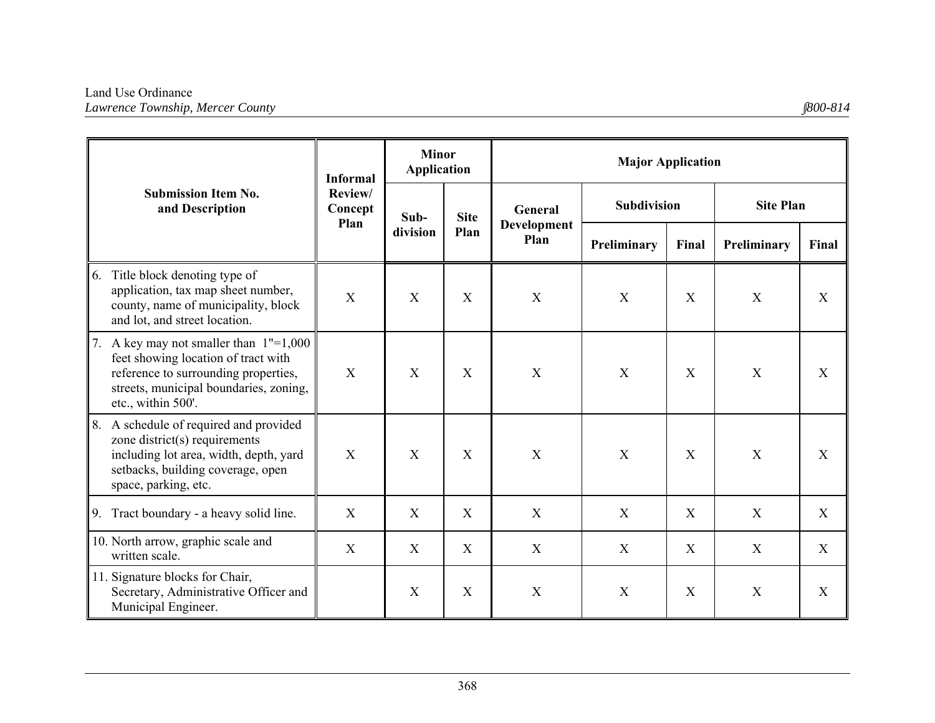|                                                                                                                                                                                            | <b>Informal</b>            | <b>Minor</b><br><b>Application</b> |             | <b>Major Application</b>  |                    |       |                  |                  |  |
|--------------------------------------------------------------------------------------------------------------------------------------------------------------------------------------------|----------------------------|------------------------------------|-------------|---------------------------|--------------------|-------|------------------|------------------|--|
| <b>Submission Item No.</b><br>and Description                                                                                                                                              | Review/<br>Concept<br>Plan | Sub-                               | <b>Site</b> | General                   | <b>Subdivision</b> |       | <b>Site Plan</b> |                  |  |
|                                                                                                                                                                                            |                            | division                           | Plan        | Development<br>Plan       | Preliminary        | Final | Preliminary      | Final            |  |
| Title block denoting type of<br>6.<br>application, tax map sheet number,<br>county, name of municipality, block<br>and lot, and street location.                                           | X                          | X                                  | X           | X                         | X                  | X     | X                | X                |  |
| A key may not smaller than $1"=1,000$<br>7.<br>feet showing location of tract with<br>reference to surrounding properties,<br>streets, municipal boundaries, zoning,<br>etc., within 500'. | X                          | X                                  | X           | $\boldsymbol{\mathrm{X}}$ | X                  | X     | X                | $\boldsymbol{X}$ |  |
| 8.<br>A schedule of required and provided<br>zone district(s) requirements<br>including lot area, width, depth, yard<br>setbacks, building coverage, open<br>space, parking, etc.          | X                          | X                                  | X           | $\boldsymbol{\mathrm{X}}$ | X                  | X     | X                | X                |  |
| Tract boundary - a heavy solid line.<br>9.                                                                                                                                                 | X                          | X                                  | X           | $\boldsymbol{\mathrm{X}}$ | X                  | X     | X                | X                |  |
| 10. North arrow, graphic scale and<br>written scale.                                                                                                                                       | X                          | X                                  | X           | X                         | X                  | X     | X                | X                |  |
| 11. Signature blocks for Chair,<br>Secretary, Administrative Officer and<br>Municipal Engineer.                                                                                            |                            | X                                  | X           | $\boldsymbol{\mathrm{X}}$ | X                  | X     | X                | X                |  |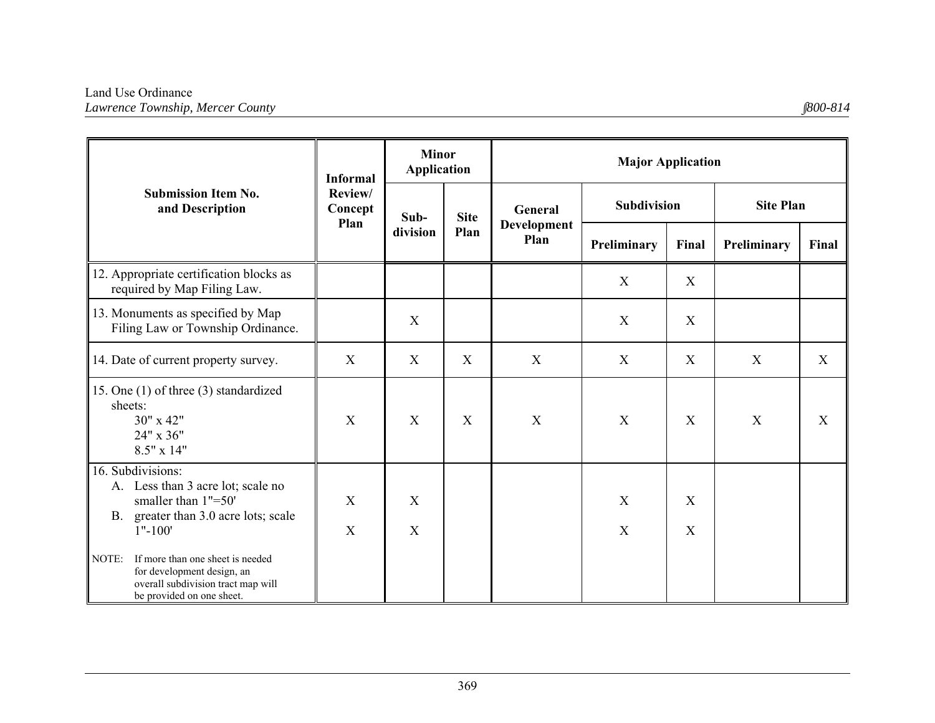|                                                                                                                                                | <b>Informal</b>    | <b>Minor</b><br><b>Application</b> |                  | <b>Major Application</b>   |                    |                       |                  |             |  |
|------------------------------------------------------------------------------------------------------------------------------------------------|--------------------|------------------------------------|------------------|----------------------------|--------------------|-----------------------|------------------|-------------|--|
| <b>Submission Item No.</b><br>and Description                                                                                                  | Review/<br>Concept | Sub-                               | <b>Site</b>      | General                    | <b>Subdivision</b> |                       | <b>Site Plan</b> |             |  |
|                                                                                                                                                | Plan               | division                           | Plan             | <b>Development</b><br>Plan | Preliminary        | Final                 | Preliminary      | Final       |  |
| 12. Appropriate certification blocks as<br>required by Map Filing Law.                                                                         |                    |                                    |                  |                            | X                  | X                     |                  |             |  |
| 13. Monuments as specified by Map<br>Filing Law or Township Ordinance.                                                                         |                    | X                                  |                  |                            | X                  | X                     |                  |             |  |
| 14. Date of current property survey.                                                                                                           | $\mathbf X$        | X                                  | $\mathbf X$      | $\mathbf X$                | X                  | $\mathbf X$           | $\mathbf X$      | X           |  |
| 15. One (1) of three (3) standardized<br>sheets:<br>30" x 42"<br>24" x 36"<br>$8.5" \times 14"$                                                | X                  | X                                  | $\boldsymbol{X}$ | X                          | X                  | X                     | X                | $\mathbf X$ |  |
| 16. Subdivisions:<br>A. Less than 3 acre lot; scale no<br>smaller than 1"=50"<br>greater than 3.0 acre lots; scale<br><b>B.</b><br>$1" - 100"$ | X<br>X             | X<br>X                             |                  |                            | X<br>X             | X<br>$\boldsymbol{X}$ |                  |             |  |
| If more than one sheet is needed<br>NOTE:<br>for development design, an<br>overall subdivision tract map will<br>be provided on one sheet.     |                    |                                    |                  |                            |                    |                       |                  |             |  |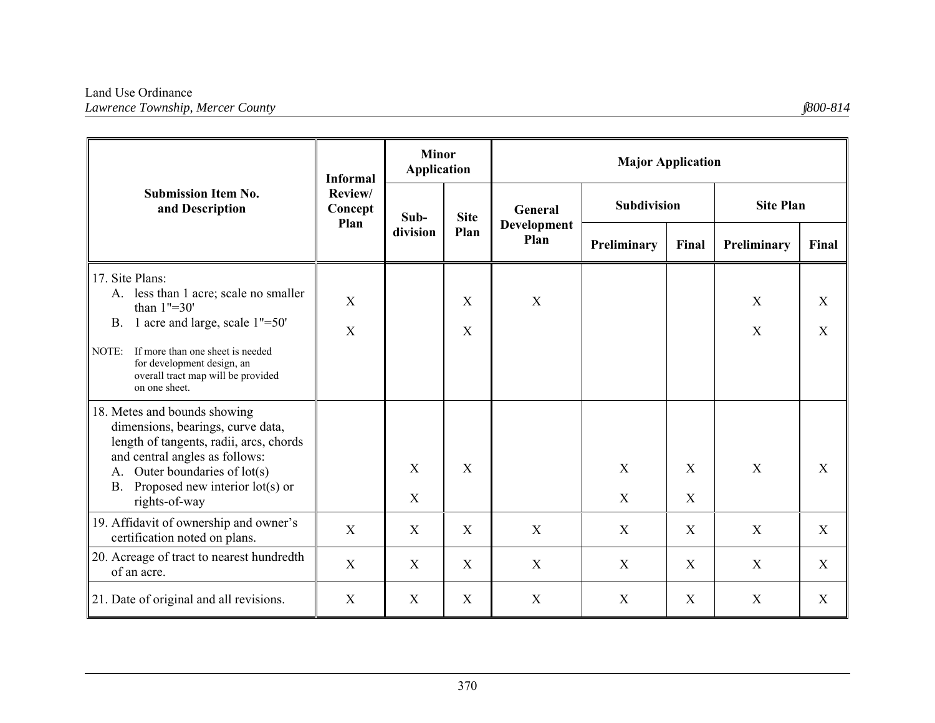|                                                                                                                                                                                                                                      | <b>Informal</b>    | <b>Minor</b><br><b>Application</b> |                | <b>Major Application</b>   |                           |       |                  |             |  |
|--------------------------------------------------------------------------------------------------------------------------------------------------------------------------------------------------------------------------------------|--------------------|------------------------------------|----------------|----------------------------|---------------------------|-------|------------------|-------------|--|
| <b>Submission Item No.</b><br>and Description                                                                                                                                                                                        | Review/<br>Concept | Sub-                               | <b>Site</b>    | <b>General</b>             | <b>Subdivision</b>        |       | <b>Site Plan</b> |             |  |
|                                                                                                                                                                                                                                      | Plan               | division                           | Plan           | <b>Development</b><br>Plan | Preliminary               | Final | Preliminary      | Final       |  |
| 17. Site Plans:<br>A. less than 1 acre; scale no smaller<br>than $1" = 30'$<br>B. 1 acre and large, scale 1"=50"                                                                                                                     | X                  |                                    | $\mathbf{X}$   | $\mathbf X$                |                           |       | X                | X           |  |
| If more than one sheet is needed<br>NOTE:<br>for development design, an<br>overall tract map will be provided<br>on one sheet.                                                                                                       | X                  |                                    | X              |                            |                           |       | X                | X           |  |
| 18. Metes and bounds showing<br>dimensions, bearings, curve data,<br>length of tangents, radii, arcs, chords<br>and central angles as follows:<br>Outer boundaries of lot(s)<br>А.<br>Proposed new interior $lot(s)$ or<br><b>B.</b> |                    | X                                  | X              |                            | X                         | X     | X                | X           |  |
| rights-of-way                                                                                                                                                                                                                        |                    | X                                  |                |                            | X                         | X     |                  |             |  |
| 19. Affidavit of ownership and owner's<br>certification noted on plans.                                                                                                                                                              | X                  | X                                  | $\overline{X}$ | X                          | X                         | X     | $\mathbf{X}$     | X           |  |
| 20. Acreage of tract to nearest hundredth<br>of an acre.                                                                                                                                                                             | X                  | X                                  | X              | X                          | X                         | X     | X                | X           |  |
| 21. Date of original and all revisions.                                                                                                                                                                                              | X                  | $\mathbf X$                        | X              | X                          | $\boldsymbol{\mathrm{X}}$ | X     | X                | $\mathbf X$ |  |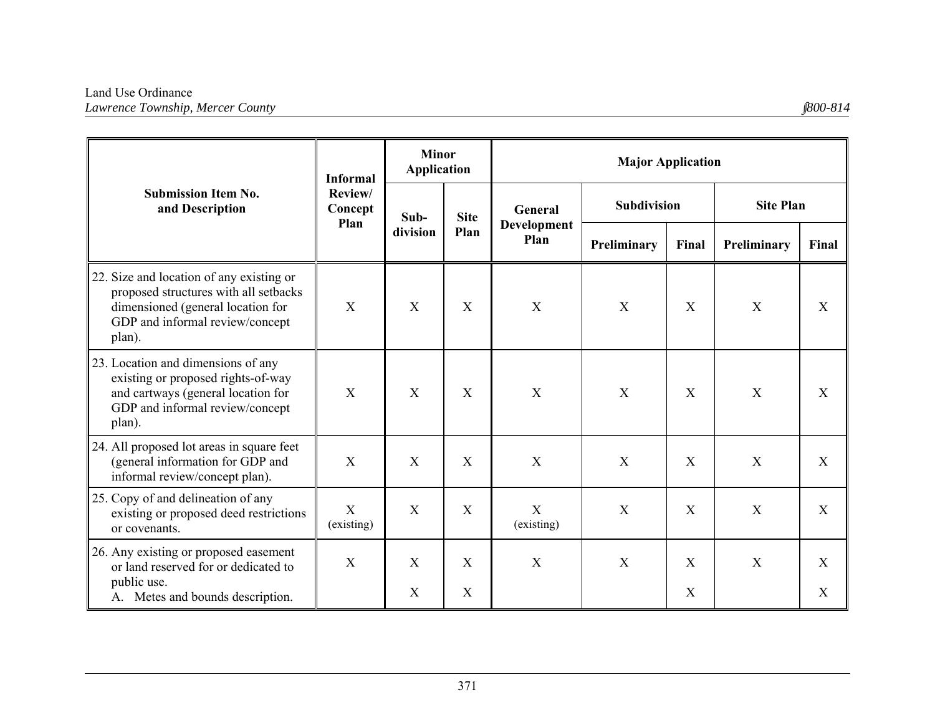|                                                                                                                                                                     | <b>Informal</b>    | <b>Minor</b><br><b>Application</b> |                                  | <b>Major Application</b>       |                    |                   |                  |        |  |
|---------------------------------------------------------------------------------------------------------------------------------------------------------------------|--------------------|------------------------------------|----------------------------------|--------------------------------|--------------------|-------------------|------------------|--------|--|
| <b>Submission Item No.</b><br>and Description                                                                                                                       | Review/<br>Concept | Sub-                               | <b>Site</b>                      | General<br>Development<br>Plan | <b>Subdivision</b> |                   | <b>Site Plan</b> |        |  |
|                                                                                                                                                                     | Plan               | division                           | Plan                             |                                | Preliminary        | Final             | Preliminary      | Final  |  |
| 22. Size and location of any existing or<br>proposed structures with all setbacks<br>dimensioned (general location for<br>GDP and informal review/concept<br>plan). | X                  | X                                  | X                                | X                              | X                  | X                 | X                | X      |  |
| 23. Location and dimensions of any<br>existing or proposed rights-of-way<br>and cartways (general location for<br>GDP and informal review/concept<br>plan).         | X                  | X                                  | X                                | X                              | X                  | X                 | X                | X      |  |
| 24. All proposed lot areas in square feet<br>(general information for GDP and<br>informal review/concept plan).                                                     | X                  | X                                  | $\mathbf{X}$                     | X                              | X                  | X                 | X                | X      |  |
| 25. Copy of and delineation of any<br>existing or proposed deed restrictions<br>or covenants.                                                                       | X<br>(existing)    | X                                  | X                                | X<br>(existing)                | X                  | X                 | X                | X      |  |
| 26. Any existing or proposed easement<br>or land reserved for or dedicated to<br>public use.<br>A. Metes and bounds description.                                    | X                  | X<br>X                             | $\mathbf{X}$<br>$\boldsymbol{X}$ | X                              | X                  | $\mathbf{X}$<br>X | X                | X<br>X |  |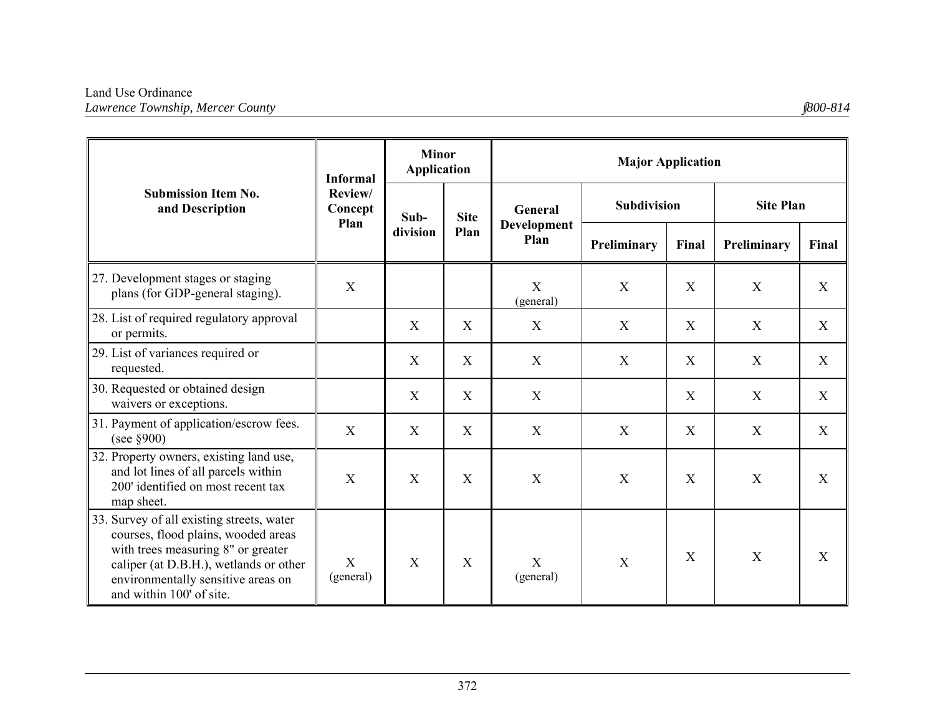|                                                                                                                                                                                                                                    | <b>Informal</b>    | <b>Minor</b><br><b>Application</b> |             | <b>Major Application</b>              |                           |             |                  |             |  |
|------------------------------------------------------------------------------------------------------------------------------------------------------------------------------------------------------------------------------------|--------------------|------------------------------------|-------------|---------------------------------------|---------------------------|-------------|------------------|-------------|--|
| <b>Submission Item No.</b><br>and Description                                                                                                                                                                                      | Review/<br>Concept | Sub-<br>division                   | <b>Site</b> | General<br><b>Development</b><br>Plan | <b>Subdivision</b>        |             | <b>Site Plan</b> |             |  |
|                                                                                                                                                                                                                                    | Plan               |                                    | Plan        |                                       | Preliminary               | Final       | Preliminary      | Final       |  |
| 27. Development stages or staging<br>plans (for GDP-general staging).                                                                                                                                                              | X                  |                                    |             | X<br>(general)                        | X                         | X           | X                | X           |  |
| 28. List of required regulatory approval<br>or permits.                                                                                                                                                                            |                    | X                                  | X           | X                                     | X                         | X           | X                | X           |  |
| 29. List of variances required or<br>requested.                                                                                                                                                                                    |                    | X                                  | X           | $\mathbf X$                           | X                         | X           | $\mathbf X$      | $\mathbf X$ |  |
| 30. Requested or obtained design<br>waivers or exceptions.                                                                                                                                                                         |                    | X                                  | X           | X                                     |                           | X           | $\boldsymbol{X}$ | X           |  |
| 31. Payment of application/escrow fees.<br>(see $\S 900$ )                                                                                                                                                                         | $\mathbf{X}$       | X                                  | X           | X                                     | X                         | X           | X                | X           |  |
| 32. Property owners, existing land use,<br>and lot lines of all parcels within<br>200' identified on most recent tax<br>map sheet.                                                                                                 | X                  | X                                  | X           | $\boldsymbol{X}$                      | $\boldsymbol{\mathrm{X}}$ | $\mathbf X$ | $\mathbf X$      | X           |  |
| 33. Survey of all existing streets, water<br>courses, flood plains, wooded areas<br>with trees measuring 8" or greater<br>caliper (at D.B.H.), wetlands or other<br>environmentally sensitive areas on<br>and within 100' of site. | X<br>(general)     | X                                  | X           | X<br>(general)                        | X                         | X           | $\mathbf{X}$     | X           |  |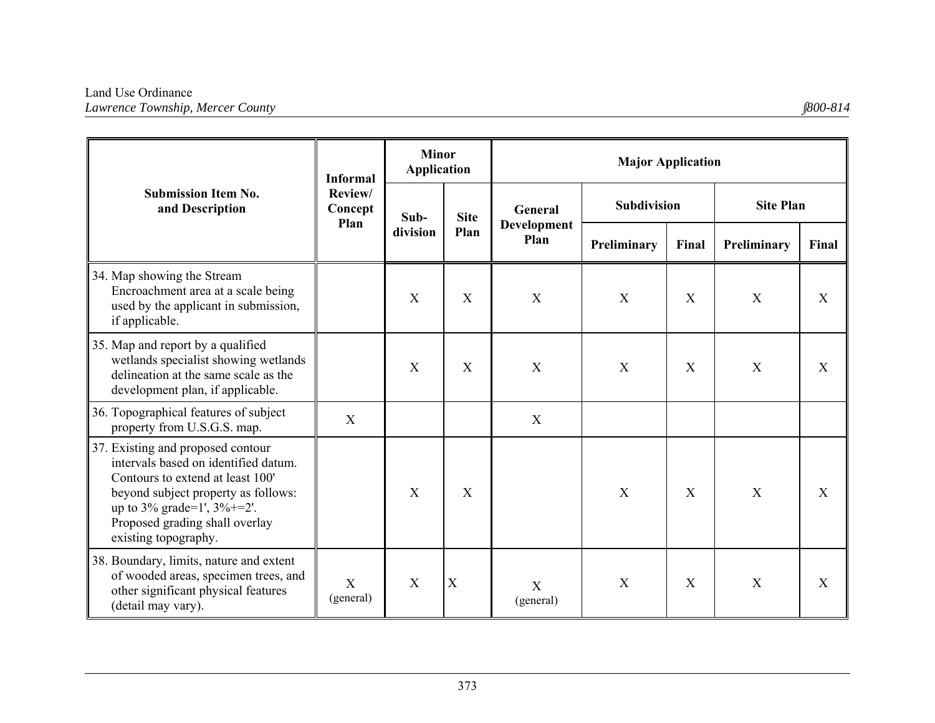|                                                                                                                                                                                                                                                  | <b>Informal</b>    | <b>Minor</b><br><b>Application</b> |             | <b>Major Application</b>               |                    |                           |                  |             |  |
|--------------------------------------------------------------------------------------------------------------------------------------------------------------------------------------------------------------------------------------------------|--------------------|------------------------------------|-------------|----------------------------------------|--------------------|---------------------------|------------------|-------------|--|
| <b>Submission Item No.</b><br>and Description                                                                                                                                                                                                    | Review/<br>Concept | Sub-<br>division                   | <b>Site</b> | General                                | <b>Subdivision</b> |                           | <b>Site Plan</b> |             |  |
|                                                                                                                                                                                                                                                  | Plan               |                                    | Plan        | <b>Development</b><br>Plan             | Preliminary        | Final                     | Preliminary      | Final       |  |
| 34. Map showing the Stream<br>Encroachment area at a scale being<br>used by the applicant in submission,<br>if applicable.                                                                                                                       |                    | X                                  | X           | $\mathbf X$                            | X                  | X                         | $\mathbf X$      | X           |  |
| 35. Map and report by a qualified<br>wetlands specialist showing wetlands<br>delineation at the same scale as the<br>development plan, if applicable.                                                                                            |                    | X                                  | X           | $\mathbf X$                            | X                  | $\boldsymbol{\mathrm{X}}$ | $\mathbf X$      | $\mathbf X$ |  |
| 36. Topographical features of subject<br>property from U.S.G.S. map.                                                                                                                                                                             | X                  |                                    |             | $\mathbf X$                            |                    |                           |                  |             |  |
| 37. Existing and proposed contour<br>intervals based on identified datum.<br>Contours to extend at least 100'<br>beyond subject property as follows:<br>up to 3% grade=1', $3\%$ +=2'.<br>Proposed grading shall overlay<br>existing topography. |                    | X                                  | X           |                                        | X                  | X                         | $\mathbf X$      | X           |  |
| 38. Boundary, limits, nature and extent<br>of wooded areas, specimen trees, and<br>other significant physical features<br>(detail may vary).                                                                                                     | X<br>(general)     | X                                  | X           | $\boldsymbol{\mathrm{X}}$<br>(general) | X                  | X                         | X                | X           |  |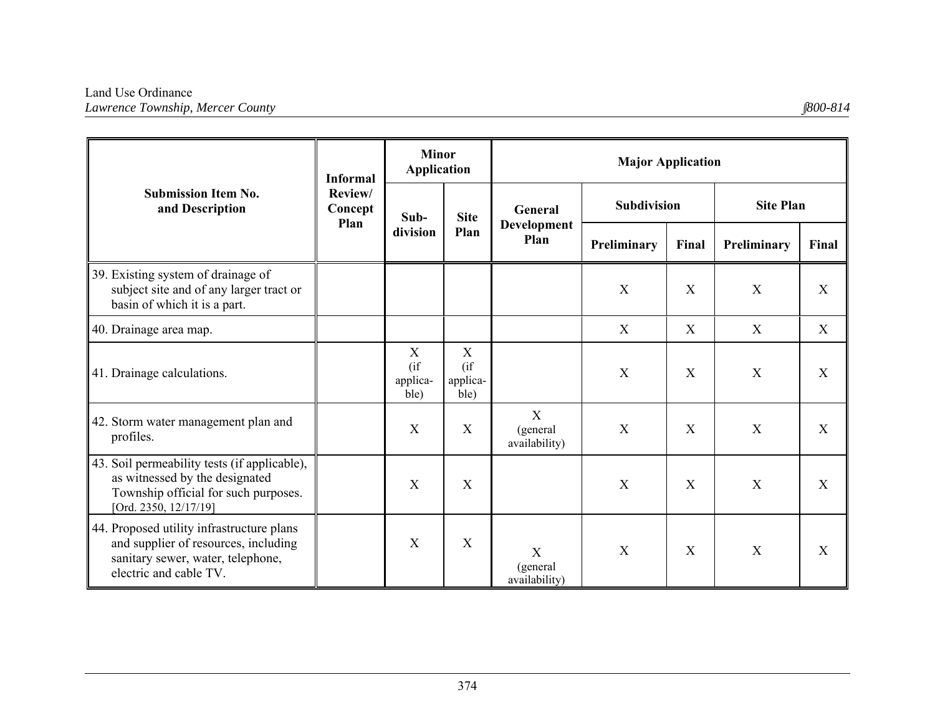|                                                                                                                                                  | <b>Informal</b>            | <b>Minor</b><br><b>Application</b>       |                                           | <b>Major Application</b>                                     |                    |              |                  |             |  |
|--------------------------------------------------------------------------------------------------------------------------------------------------|----------------------------|------------------------------------------|-------------------------------------------|--------------------------------------------------------------|--------------------|--------------|------------------|-------------|--|
| <b>Submission Item No.</b><br>and Description                                                                                                    | Review/<br>Concept<br>Plan | Sub-                                     |                                           | General<br><b>Site</b><br><b>Development</b><br>Plan<br>Plan | <b>Subdivision</b> |              | <b>Site Plan</b> |             |  |
|                                                                                                                                                  |                            | division                                 |                                           |                                                              | Preliminary        | Final        | Preliminary      | Final       |  |
| 39. Existing system of drainage of<br>subject site and of any larger tract or<br>basin of which it is a part.                                    |                            |                                          |                                           |                                                              | X                  | X            | X                | X           |  |
| 40. Drainage area map.                                                                                                                           |                            |                                          |                                           |                                                              | X                  | X            | X                | X           |  |
| 41. Drainage calculations.                                                                                                                       |                            | $\mathbf X$<br>(i f)<br>applica-<br>ble) | $\mathbf X$<br>$($ if<br>applica-<br>ble) |                                                              | X                  | X            | X                | $\mathbf X$ |  |
| 42. Storm water management plan and<br>profiles.                                                                                                 |                            | X                                        | X                                         | X<br>(general<br>availability)                               | X                  | $\mathbf{X}$ | X                | X           |  |
| 43. Soil permeability tests (if applicable),<br>as witnessed by the designated<br>Township official for such purposes.<br>[Ord. 2350, 12/17/19]  |                            | X                                        | X                                         |                                                              | X                  | X            | X                | X           |  |
| 44. Proposed utility infrastructure plans<br>and supplier of resources, including<br>sanitary sewer, water, telephone,<br>electric and cable TV. |                            | X                                        | $\mathbf{X}$                              | X<br>(general<br>availability)                               | X                  | X            | X                | X           |  |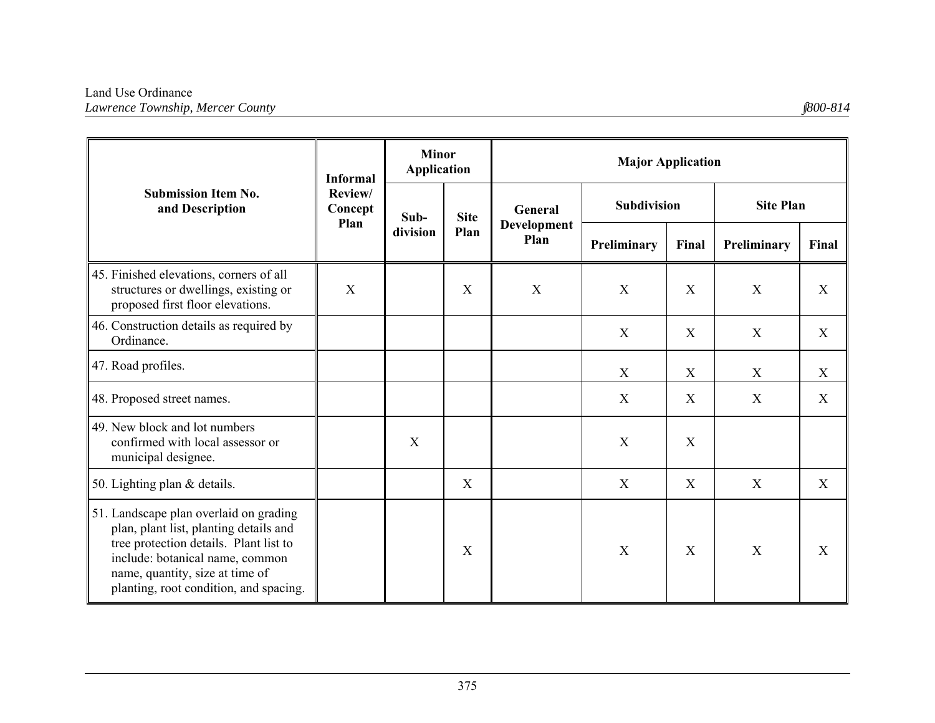|                                                                                                                                                                                                                                            | <b>Informal</b>            | <b>Minor</b><br><b>Application</b> |              | <b>Major Application</b>       |                           |       |                  |       |  |
|--------------------------------------------------------------------------------------------------------------------------------------------------------------------------------------------------------------------------------------------|----------------------------|------------------------------------|--------------|--------------------------------|---------------------------|-------|------------------|-------|--|
| <b>Submission Item No.</b><br>and Description                                                                                                                                                                                              | Review/<br>Concept<br>Plan | Sub-                               | <b>Site</b>  | General<br>Development<br>Plan | <b>Subdivision</b>        |       | <b>Site Plan</b> |       |  |
|                                                                                                                                                                                                                                            |                            | division                           | Plan         |                                | Preliminary               | Final | Preliminary      | Final |  |
| 45. Finished elevations, corners of all<br>structures or dwellings, existing or<br>proposed first floor elevations.                                                                                                                        | X                          |                                    | X            | X                              | X                         | X     | X                | X     |  |
| 46. Construction details as required by<br>Ordinance.                                                                                                                                                                                      |                            |                                    |              |                                | $\boldsymbol{\mathrm{X}}$ | X     | X                | X     |  |
| 47. Road profiles.                                                                                                                                                                                                                         |                            |                                    |              |                                | X                         | X     | X                | X     |  |
| 48. Proposed street names.                                                                                                                                                                                                                 |                            |                                    |              |                                | X                         | X     | X                | X     |  |
| 49. New block and lot numbers<br>confirmed with local assessor or<br>municipal designee.                                                                                                                                                   |                            | X                                  |              |                                | X                         | X     |                  |       |  |
| 50. Lighting plan & details.                                                                                                                                                                                                               |                            |                                    | $\mathbf{X}$ |                                | $\boldsymbol{\mathrm{X}}$ | X     | X                | X     |  |
| 51. Landscape plan overlaid on grading<br>plan, plant list, planting details and<br>tree protection details. Plant list to<br>include: botanical name, common<br>name, quantity, size at time of<br>planting, root condition, and spacing. |                            |                                    | X            |                                | $\boldsymbol{X}$          | X     | X                | X     |  |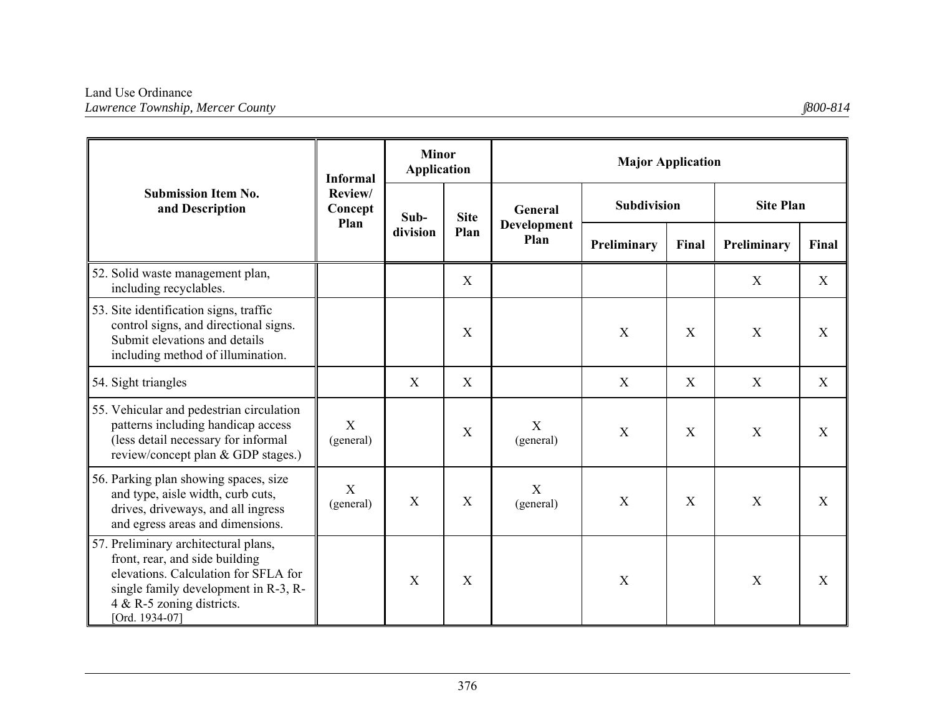|                                                                                                                                                                                                       | <b>Informal</b>          | <b>Minor</b><br><b>Application</b> |             | <b>Major Application</b>   |                    |       |                           |                           |  |
|-------------------------------------------------------------------------------------------------------------------------------------------------------------------------------------------------------|--------------------------|------------------------------------|-------------|----------------------------|--------------------|-------|---------------------------|---------------------------|--|
| <b>Submission Item No.</b><br>and Description                                                                                                                                                         | Review/<br>Concept       | Sub-                               | <b>Site</b> | General                    | <b>Subdivision</b> |       | <b>Site Plan</b>          |                           |  |
|                                                                                                                                                                                                       | Plan                     | division                           | Plan        | <b>Development</b><br>Plan | Preliminary        | Final | Preliminary               | Final                     |  |
| 52. Solid waste management plan,<br>including recyclables.                                                                                                                                            |                          |                                    | X           |                            |                    |       | X                         | X                         |  |
| 53. Site identification signs, traffic<br>control signs, and directional signs.<br>Submit elevations and details<br>including method of illumination.                                                 |                          |                                    | X           |                            | X                  | X     | X                         | X                         |  |
| 54. Sight triangles                                                                                                                                                                                   |                          | X                                  | X           |                            | X                  | X     | X                         | X                         |  |
| 55. Vehicular and pedestrian circulation<br>patterns including handicap access<br>(less detail necessary for informal<br>review/concept plan & GDP stages.)                                           | X<br>(general)           |                                    | X           | X<br>(general)             | X                  | X     | X                         | X                         |  |
| 56. Parking plan showing spaces, size<br>and type, aisle width, curb cuts,<br>drives, driveways, and all ingress<br>and egress areas and dimensions.                                                  | $\mathbf X$<br>(general) | X                                  | X           | $\mathbf X$<br>(general)   | X                  | X     | $\boldsymbol{\mathrm{X}}$ | X                         |  |
| 57. Preliminary architectural plans,<br>front, rear, and side building<br>elevations. Calculation for SFLA for<br>single family development in R-3, R-<br>4 & R-5 zoning districts.<br>[Ord. 1934-07] |                          | X                                  | X           |                            | X                  |       | $\boldsymbol{X}$          | $\boldsymbol{\mathrm{X}}$ |  |